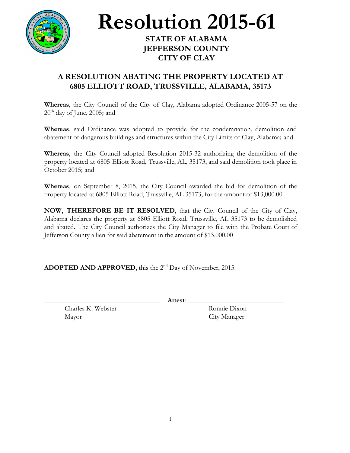

**Resolution 2015-61**

## **STATE OF ALABAMA JEFFERSON COUNTY CITY OF CLAY**

## **A RESOLUTION ABATING THE PROPERTY LOCATED AT 6805 ELLIOTT ROAD, TRUSSVILLE, ALABAMA, 35173**

**Whereas**, the City Council of the City of Clay, Alabama adopted Ordinance 2005-57 on the  $20<sup>th</sup>$  day of June, 2005; and

**Whereas**, said Ordinance was adopted to provide for the condemnation, demolition and abatement of dangerous buildings and structures within the City Limits of Clay, Alabama; and

**Whereas**, the City Council adopted Resolution 2015-32 authorizing the demolition of the property located at 6805 Elliott Road, Trussville, AL, 35173, and said demolition took place in October 2015; and

**Whereas**, on September 8, 2015, the City Council awarded the bid for demolition of the property located at 6805 Elliott Road, Trussville, AL 35173, for the amount of \$13,000.00

**NOW, THEREFORE BE IT RESOLVED**, that the City Council of the City of Clay, Alabama declares the property at 6805 Elliott Road, Trussville, AL 35173 to be demolished and abated. The City Council authorizes the City Manager to file with the Probate Court of Jefferson County a lien for said abatement in the amount of \$13,000.00

## **ADOPTED AND APPROVED**, this the 2<sup>nd</sup> Day of November, 2015.

\_\_\_\_\_\_\_\_\_\_\_\_\_\_\_\_\_\_\_\_\_\_\_\_\_\_\_\_\_\_\_\_\_\_ **Attest**: \_\_\_\_\_\_\_\_\_\_\_\_\_\_\_\_\_\_\_\_\_\_\_\_\_\_\_\_

Charles K. Webster Ronnie Dixon Mayor City Manager